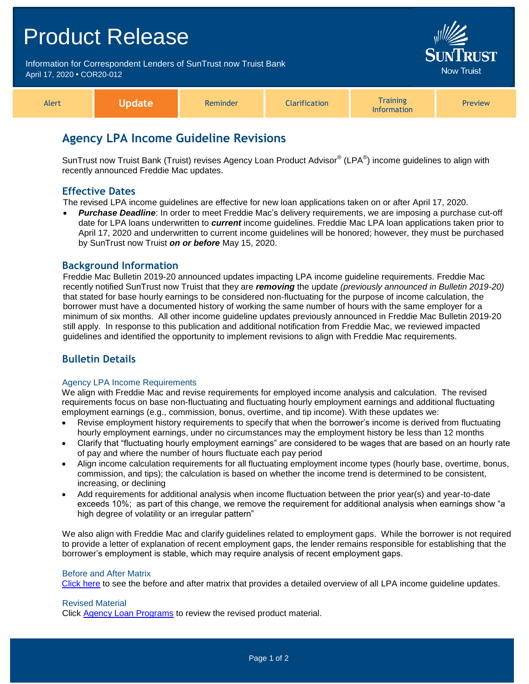# Product Release Information for Correspondent Lenders of SunTrust now Truist Bank April 17, 2020 **•** COR20-012 Alert **Update** Reminder **Clarification Training** Information Preview

# **Agency LPA Income Guideline Revisions**

SunTrust now Truist Bank (Truist) revises Agency Loan Product Advisor® (LPA®) income guidelines to align with recently announced Freddie Mac updates.

## **Effective Dates**

The revised LPA income guidelines are effective for new loan applications taken on or after April 17, 2020.

 *Purchase Deadline*: In order to meet Freddie Mac's delivery requirements, we are imposing a purchase cut-off date for LPA loans underwritten to *current* income guidelines. Freddie Mac LPA loan applications taken prior to April 17, 2020 and underwritten to current income guidelines will be honored; however, they must be purchased by SunTrust now Truist *on or before* May 15, 2020.

### **Background Information**

Freddie Mac Bulletin 2019-20 announced updates impacting LPA income guideline requirements. Freddie Mac recently notified SunTrust now Truist that they are *removing* the update *(previously announced in Bulletin 2019-20)* that stated for base hourly earnings to be considered non-fluctuating for the purpose of income calculation, the borrower must have a documented history of working the same number of hours with the same employer for a minimum of six months. All other income guideline updates previously announced in Freddie Mac Bulletin 2019-20 still apply. In response to this publication and additional notification from Freddie Mac, we reviewed impacted guidelines and identified the opportunity to implement revisions to align with Freddie Mac requirements.

# **Bulletin Details**

#### Agency LPA Income Requirements

We align with Freddie Mac and revise requirements for employed income analysis and calculation. The revised requirements focus on base non-fluctuating and fluctuating hourly employment earnings and additional fluctuating employment earnings (e.g., commission, bonus, overtime, and tip income). With these updates we:

- Revise employment history requirements to specify that when the borrower's income is derived from fluctuating hourly employment earnings, under no circumstances may the employment history be less than 12 months
- Clarify that "fluctuating hourly employment earnings" are considered to be wages that are based on an hourly rate of pay and where the number of hours fluctuate each pay period
- Align income calculation requirements for all fluctuating employment income types (hourly base, overtime, bonus, commission, and tips); the calculation is based on whether the income trend is determined to be consistent, increasing, or declining
- Add requirements for additional analysis when income fluctuation between the prior year(s) and year-to-date exceeds 10%; as part of this change, we remove the requirement for additional analysis when earnings show "a high degree of volatility or an irregular pattern"

We also align with Freddie Mac and clarify guidelines related to employment gaps. While the borrower is not required to provide a letter of explanation of recent employment gaps, the lender remains responsible for establishing that the borrower's employment is stable, which may require analysis of recent employment gaps.

#### Before and After Matrix

[Click here](http://www.truistsellerguide.com/manual/cor/products/Cr20-012BA.pdf) to see the before and after matrix that provides a detailed overview of all LPA income guideline updates.

#### Revised Material

Click [Agency Loan Programs](https://www.truistsellerguide.com/manual/cor/products/CAgency.pdf) to review the revised product material.